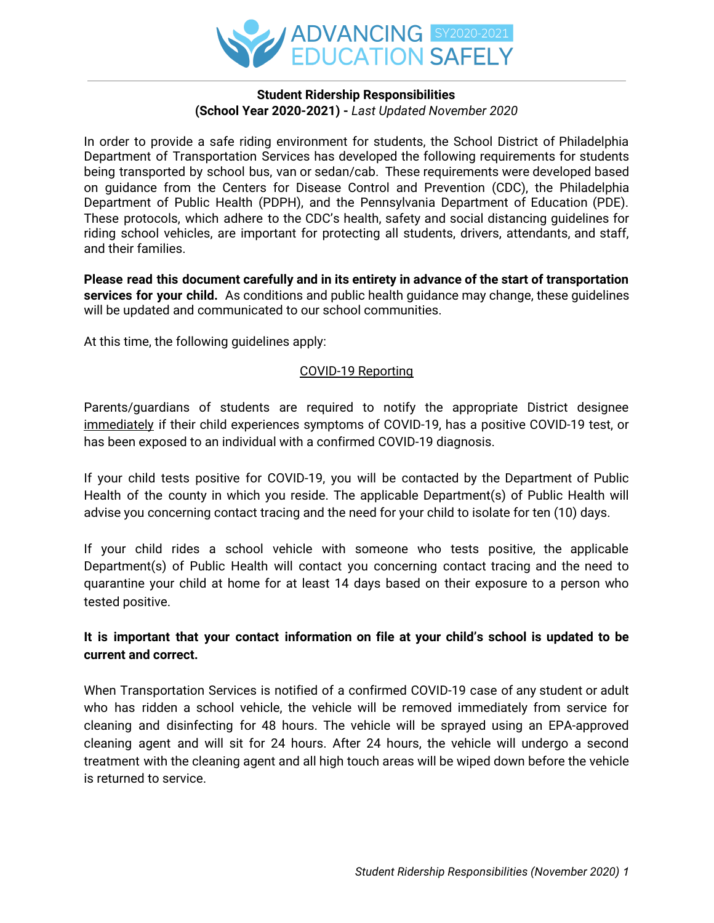

#### **Student Ridership Responsibilities (School Year 2020-2021) -** *Last Updated November 2020*

In order to provide a safe riding environment for students, the School District of Philadelphia Department of Transportation Services has developed the following requirements for students being transported by school bus, van or sedan/cab. These requirements were developed based on guidance from the Centers for Disease Control and Prevention (CDC), the Philadelphia Department of Public Health (PDPH), and the Pennsylvania Department of Education (PDE). These protocols, which adhere to the CDC's health, safety and social distancing guidelines for riding school vehicles, are important for protecting all students, drivers, attendants, and staff, and their families.

**Please read this document carefully and in its entirety in advance of the start of transportation services for your child.** As conditions and public health guidance may change, these guidelines will be updated and communicated to our school communities.

At this time, the following guidelines apply:

#### COVID-19 Reporting

Parents/guardians of students are required to notify the appropriate District designee immediately if their child experiences symptoms of COVID-19, has a positive COVID-19 test, or has been exposed to an individual with a confirmed COVID-19 diagnosis.

If your child tests positive for COVID-19, you will be contacted by the Department of Public Health of the county in which you reside. The applicable Department(s) of Public Health will advise you concerning contact tracing and the need for your child to isolate for ten (10) days.

If your child rides a school vehicle with someone who tests positive, the applicable Department(s) of Public Health will contact you concerning contact tracing and the need to quarantine your child at home for at least 14 days based on their exposure to a person who tested positive.

## **It is important that your contact information on file at your child's school is updated to be current and correct.**

When Transportation Services is notified of a confirmed COVID-19 case of any student or adult who has ridden a school vehicle, the vehicle will be removed immediately from service for cleaning and disinfecting for 48 hours. The vehicle will be sprayed using an EPA-approved cleaning agent and will sit for 24 hours. After 24 hours, the vehicle will undergo a second treatment with the cleaning agent and all high touch areas will be wiped down before the vehicle is returned to service.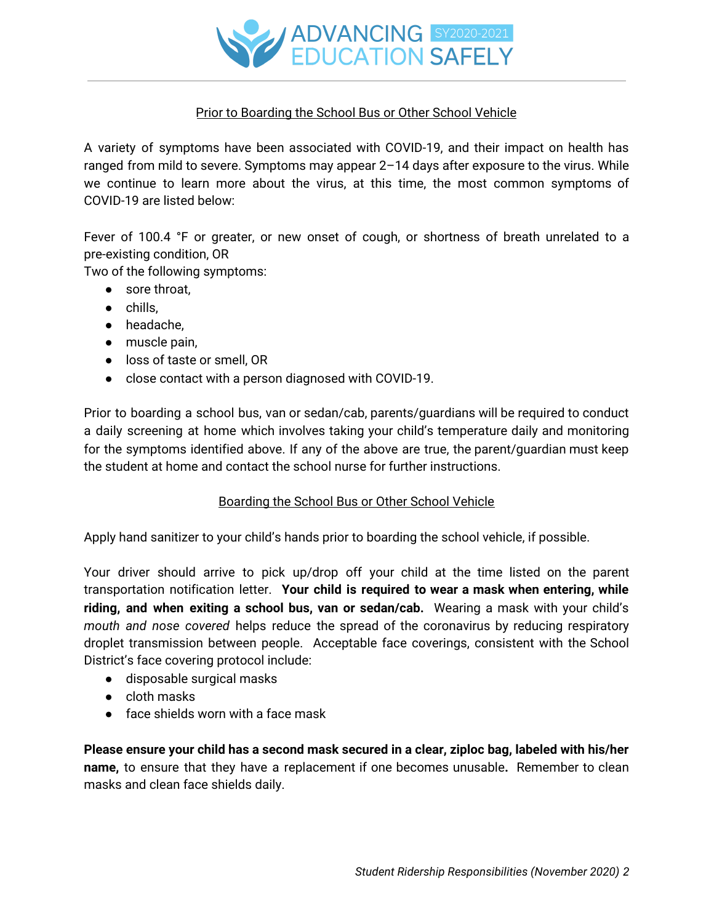

## Prior to Boarding the School Bus or Other School Vehicle

A variety of symptoms have been associated with COVID-19, and their impact on health has ranged from mild to severe. Symptoms may appear 2–14 days after exposure to the virus. While we continue to learn more about the virus, at this time, the most common symptoms of COVID-19 are listed below:

Fever of 100.4 °F or greater, or new onset of cough, or shortness of breath unrelated to a pre-existing condition, OR

Two of the following symptoms:

- sore throat,
- chills,
- headache,
- muscle pain,
- loss of taste or smell, OR
- close contact with a person diagnosed with COVID-19.

Prior to boarding a school bus, van or sedan/cab, parents/guardians will be required to conduct a daily screening at home which involves taking your child's temperature daily and monitoring for the symptoms identified above. If any of the above are true, the parent/guardian must keep the student at home and contact the school nurse for further instructions.

#### Boarding the School Bus or Other School Vehicle

Apply hand sanitizer to your child's hands prior to boarding the school vehicle, if possible.

Your driver should arrive to pick up/drop off your child at the time listed on the parent transportation notification letter. **Your child is required to wear a mask when entering, while riding, and when exiting a school bus, van or sedan/cab.** Wearing a mask with your child's *mouth and nose covered* helps reduce the spread of the coronavirus by reducing respiratory droplet transmission between people. Acceptable face coverings, consistent with the School District's face covering protocol include:

- disposable surgical masks
- cloth masks
- $\bullet$  face shields worn with a face mask

**Please ensure your child has a second mask secured in a clear, ziploc bag, labeled with his/her name,** to ensure that they have a replacement if one becomes unusable**.** Remember to clean masks and clean face shields daily.